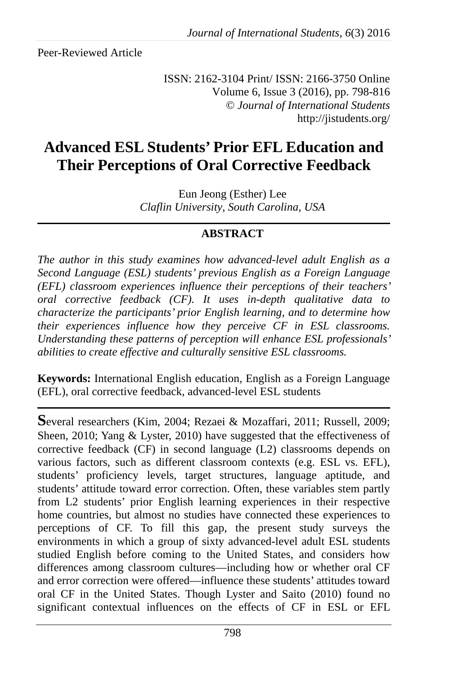Peer-Reviewed Article

ISSN: 2162-3104 Print/ ISSN: 2166-3750 Online Volume 6, Issue 3 (2016), pp. 798-816 © *Journal of International Students* http://jistudents.org/

# **Advanced ESL Students' Prior EFL Education and Their Perceptions of Oral Corrective Feedback**

Eun Jeong (Esther) Lee *Claflin University, South Carolina, USA* 

## **ABSTRACT**

*The author in this study examines how advanced-level adult English as a Second Language (ESL) students' previous English as a Foreign Language (EFL) classroom experiences influence their perceptions of their teachers' oral corrective feedback (CF). It uses in-depth qualitative data to characterize the participants' prior English learning, and to determine how their experiences influence how they perceive CF in ESL classrooms. Understanding these patterns of perception will enhance ESL professionals' abilities to create effective and culturally sensitive ESL classrooms.* 

**Keywords:** International English education, English as a Foreign Language (EFL), oral corrective feedback, advanced-level ESL students

**S**everal researchers (Kim, 2004; Rezaei & Mozaffari, 2011; Russell, 2009; Sheen, 2010; Yang & Lyster, 2010) have suggested that the effectiveness of corrective feedback (CF) in second language (L2) classrooms depends on various factors, such as different classroom contexts (e.g. ESL vs. EFL), students' proficiency levels, target structures, language aptitude, and students' attitude toward error correction. Often, these variables stem partly from L2 students' prior English learning experiences in their respective home countries, but almost no studies have connected these experiences to perceptions of CF. To fill this gap, the present study surveys the environments in which a group of sixty advanced-level adult ESL students studied English before coming to the United States, and considers how differences among classroom cultures—including how or whether oral CF and error correction were offered—influence these students' attitudes toward oral CF in the United States. Though Lyster and Saito (2010) found no significant contextual influences on the effects of CF in ESL or EFL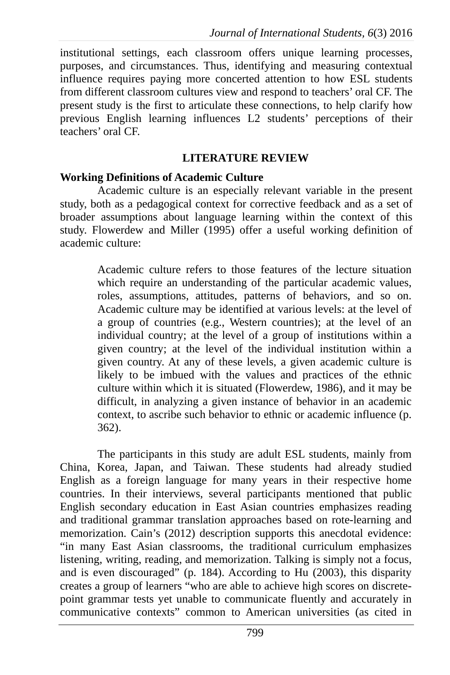institutional settings, each classroom offers unique learning processes, purposes, and circumstances. Thus, identifying and measuring contextual influence requires paying more concerted attention to how ESL students from different classroom cultures view and respond to teachers' oral CF. The present study is the first to articulate these connections, to help clarify how previous English learning influences L2 students' perceptions of their teachers' oral CF.

### **LITERATURE REVIEW**

### **Working Definitions of Academic Culture**

Academic culture is an especially relevant variable in the present study, both as a pedagogical context for corrective feedback and as a set of broader assumptions about language learning within the context of this study. Flowerdew and Miller (1995) offer a useful working definition of academic culture:

> Academic culture refers to those features of the lecture situation which require an understanding of the particular academic values, roles, assumptions, attitudes, patterns of behaviors, and so on. Academic culture may be identified at various levels: at the level of a group of countries (e.g., Western countries); at the level of an individual country; at the level of a group of institutions within a given country; at the level of the individual institution within a given country. At any of these levels, a given academic culture is likely to be imbued with the values and practices of the ethnic culture within which it is situated (Flowerdew, 1986), and it may be difficult, in analyzing a given instance of behavior in an academic context, to ascribe such behavior to ethnic or academic influence (p. 362).

The participants in this study are adult ESL students, mainly from China, Korea, Japan, and Taiwan. These students had already studied English as a foreign language for many years in their respective home countries. In their interviews, several participants mentioned that public English secondary education in East Asian countries emphasizes reading and traditional grammar translation approaches based on rote-learning and memorization. Cain's (2012) description supports this anecdotal evidence: "in many East Asian classrooms, the traditional curriculum emphasizes listening, writing, reading, and memorization. Talking is simply not a focus, and is even discouraged" (p. 184). According to Hu (2003), this disparity creates a group of learners "who are able to achieve high scores on discretepoint grammar tests yet unable to communicate fluently and accurately in communicative contexts" common to American universities (as cited in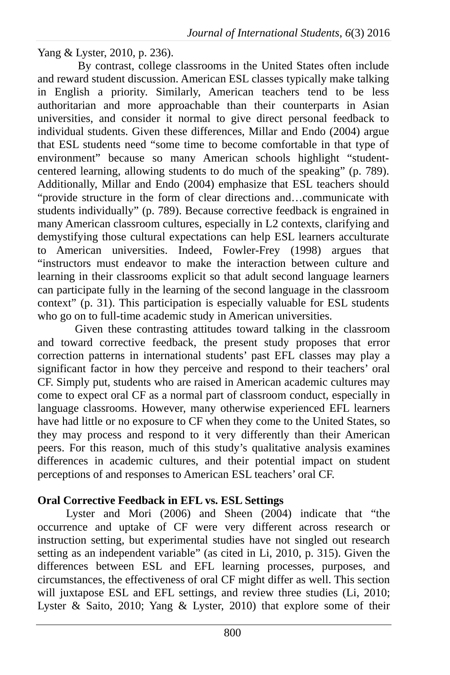Yang & Lyster, 2010, p. 236).

 By contrast, college classrooms in the United States often include and reward student discussion. American ESL classes typically make talking in English a priority. Similarly, American teachers tend to be less authoritarian and more approachable than their counterparts in Asian universities, and consider it normal to give direct personal feedback to individual students. Given these differences, Millar and Endo (2004) argue that ESL students need "some time to become comfortable in that type of environment" because so many American schools highlight "studentcentered learning, allowing students to do much of the speaking" (p. 789). Additionally, Millar and Endo (2004) emphasize that ESL teachers should "provide structure in the form of clear directions and…communicate with students individually" (p. 789). Because corrective feedback is engrained in many American classroom cultures, especially in L2 contexts, clarifying and demystifying those cultural expectations can help ESL learners acculturate to American universities. Indeed, Fowler-Frey (1998) argues that "instructors must endeavor to make the interaction between culture and learning in their classrooms explicit so that adult second language learners can participate fully in the learning of the second language in the classroom context" (p. 31). This participation is especially valuable for ESL students who go on to full-time academic study in American universities.

Given these contrasting attitudes toward talking in the classroom and toward corrective feedback, the present study proposes that error correction patterns in international students' past EFL classes may play a significant factor in how they perceive and respond to their teachers' oral CF. Simply put, students who are raised in American academic cultures may come to expect oral CF as a normal part of classroom conduct, especially in language classrooms. However, many otherwise experienced EFL learners have had little or no exposure to CF when they come to the United States, so they may process and respond to it very differently than their American peers. For this reason, much of this study's qualitative analysis examines differences in academic cultures, and their potential impact on student perceptions of and responses to American ESL teachers' oral CF.

## **Oral Corrective Feedback in EFL vs. ESL Settings**

Lyster and Mori (2006) and Sheen (2004) indicate that "the occurrence and uptake of CF were very different across research or instruction setting, but experimental studies have not singled out research setting as an independent variable" (as cited in Li, 2010, p. 315). Given the differences between ESL and EFL learning processes, purposes, and circumstances, the effectiveness of oral CF might differ as well. This section will juxtapose ESL and EFL settings, and review three studies (Li, 2010; Lyster & Saito, 2010; Yang & Lyster, 2010) that explore some of their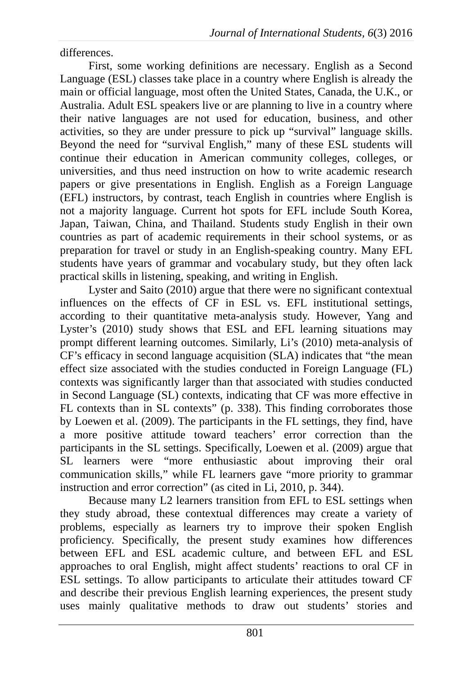differences.

First, some working definitions are necessary. English as a Second Language (ESL) classes take place in a country where English is already the main or official language, most often the United States, Canada, the U.K., or Australia. Adult ESL speakers live or are planning to live in a country where their native languages are not used for education, business, and other activities, so they are under pressure to pick up "survival" language skills. Beyond the need for "survival English," many of these ESL students will continue their education in American community colleges, colleges, or universities, and thus need instruction on how to write academic research papers or give presentations in English. English as a Foreign Language (EFL) instructors, by contrast, teach English in countries where English is not a majority language. Current hot spots for EFL include South Korea, Japan, Taiwan, China, and Thailand. Students study English in their own countries as part of academic requirements in their school systems, or as preparation for travel or study in an English-speaking country. Many EFL students have years of grammar and vocabulary study, but they often lack practical skills in listening, speaking, and writing in English.

Lyster and Saito (2010) argue that there were no significant contextual influences on the effects of CF in ESL vs. EFL institutional settings, according to their quantitative meta-analysis study. However, Yang and Lyster's (2010) study shows that ESL and EFL learning situations may prompt different learning outcomes. Similarly, Li's (2010) meta-analysis of CF's efficacy in second language acquisition (SLA) indicates that "the mean effect size associated with the studies conducted in Foreign Language (FL) contexts was significantly larger than that associated with studies conducted in Second Language (SL) contexts, indicating that CF was more effective in FL contexts than in SL contexts" (p. 338). This finding corroborates those by Loewen et al. (2009). The participants in the FL settings, they find, have a more positive attitude toward teachers' error correction than the participants in the SL settings. Specifically, Loewen et al. (2009) argue that SL learners were "more enthusiastic about improving their oral communication skills," while FL learners gave "more priority to grammar instruction and error correction" (as cited in Li, 2010, p. 344).

Because many L2 learners transition from EFL to ESL settings when they study abroad, these contextual differences may create a variety of problems, especially as learners try to improve their spoken English proficiency. Specifically, the present study examines how differences between EFL and ESL academic culture, and between EFL and ESL approaches to oral English, might affect students' reactions to oral CF in ESL settings. To allow participants to articulate their attitudes toward CF and describe their previous English learning experiences, the present study uses mainly qualitative methods to draw out students' stories and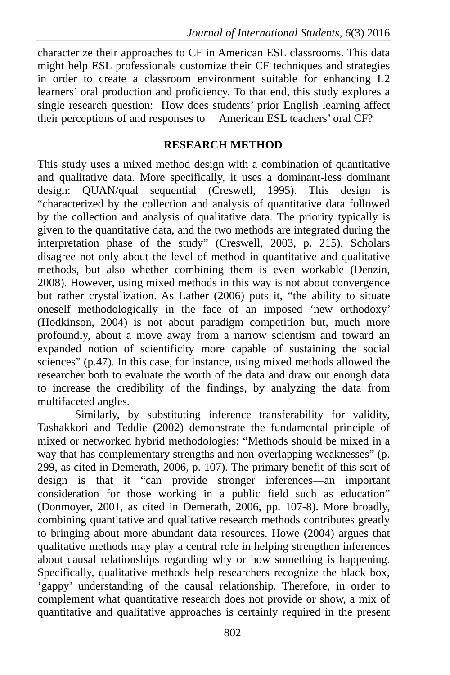characterize their approaches to CF in American ESL classrooms. This data might help ESL professionals customize their CF techniques and strategies in order to create a classroom environment suitable for enhancing L2 learners' oral production and proficiency. To that end, this study explores a single research question: How does students' prior English learning affect their perceptions of and responses to American ESL teachers' oral CF?

## **RESEARCH METHOD**

This study uses a mixed method design with a combination of quantitative and qualitative data. More specifically, it uses a dominant-less dominant design: QUAN/qual sequential (Creswell, 1995). This design is "characterized by the collection and analysis of quantitative data followed by the collection and analysis of qualitative data. The priority typically is given to the quantitative data, and the two methods are integrated during the interpretation phase of the study" (Creswell, 2003, p. 215). Scholars disagree not only about the level of method in quantitative and qualitative methods, but also whether combining them is even workable (Denzin, 2008). However, using mixed methods in this way is not about convergence but rather crystallization. As Lather (2006) puts it, "the ability to situate oneself methodologically in the face of an imposed 'new orthodoxy' (Hodkinson, 2004) is not about paradigm competition but, much more profoundly, about a move away from a narrow scientism and toward an expanded notion of scientificity more capable of sustaining the social sciences" (p.47). In this case, for instance, using mixed methods allowed the researcher both to evaluate the worth of the data and draw out enough data to increase the credibility of the findings, by analyzing the data from multifaceted angles.

Similarly, by substituting inference transferability for validity, Tashakkori and Teddie (2002) demonstrate the fundamental principle of mixed or networked hybrid methodologies: "Methods should be mixed in a way that has complementary strengths and non-overlapping weaknesses" (p. 299, as cited in Demerath, 2006, p. 107). The primary benefit of this sort of design is that it "can provide stronger inferences—an important consideration for those working in a public field such as education" (Donmoyer, 2001, as cited in Demerath, 2006, pp. 107-8). More broadly, combining quantitative and qualitative research methods contributes greatly to bringing about more abundant data resources. Howe (2004) argues that qualitative methods may play a central role in helping strengthen inferences about causal relationships regarding why or how something is happening. Specifically, qualitative methods help researchers recognize the black box, 'gappy' understanding of the causal relationship. Therefore, in order to complement what quantitative research does not provide or show, a mix of quantitative and qualitative approaches is certainly required in the present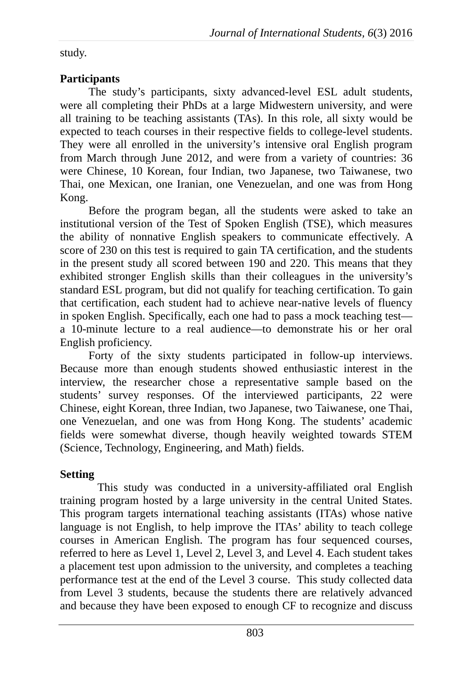study.

## **Participants**

The study's participants, sixty advanced-level ESL adult students, were all completing their PhDs at a large Midwestern university, and were all training to be teaching assistants (TAs). In this role, all sixty would be expected to teach courses in their respective fields to college-level students. They were all enrolled in the university's intensive oral English program from March through June 2012, and were from a variety of countries: 36 were Chinese, 10 Korean, four Indian, two Japanese, two Taiwanese, two Thai, one Mexican, one Iranian, one Venezuelan, and one was from Hong Kong.

Before the program began, all the students were asked to take an institutional version of the Test of Spoken English (TSE), which measures the ability of nonnative English speakers to communicate effectively. A score of 230 on this test is required to gain TA certification, and the students in the present study all scored between 190 and 220. This means that they exhibited stronger English skills than their colleagues in the university's standard ESL program, but did not qualify for teaching certification. To gain that certification, each student had to achieve near-native levels of fluency in spoken English. Specifically, each one had to pass a mock teaching test a 10-minute lecture to a real audience—to demonstrate his or her oral English proficiency.

Forty of the sixty students participated in follow-up interviews. Because more than enough students showed enthusiastic interest in the interview, the researcher chose a representative sample based on the students' survey responses. Of the interviewed participants, 22 were Chinese, eight Korean, three Indian, two Japanese, two Taiwanese, one Thai, one Venezuelan, and one was from Hong Kong. The students' academic fields were somewhat diverse, though heavily weighted towards STEM (Science, Technology, Engineering, and Math) fields.

## **Setting**

This study was conducted in a university-affiliated oral English training program hosted by a large university in the central United States. This program targets international teaching assistants (ITAs) whose native language is not English, to help improve the ITAs' ability to teach college courses in American English. The program has four sequenced courses, referred to here as Level 1, Level 2, Level 3, and Level 4. Each student takes a placement test upon admission to the university, and completes a teaching performance test at the end of the Level 3 course. This study collected data from Level 3 students, because the students there are relatively advanced and because they have been exposed to enough CF to recognize and discuss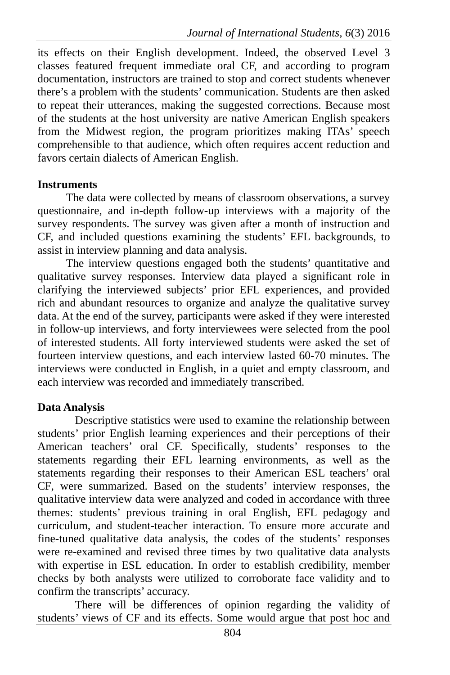its effects on their English development. Indeed, the observed Level 3 classes featured frequent immediate oral CF, and according to program documentation, instructors are trained to stop and correct students whenever there's a problem with the students' communication. Students are then asked to repeat their utterances, making the suggested corrections. Because most of the students at the host university are native American English speakers from the Midwest region, the program prioritizes making ITAs' speech comprehensible to that audience, which often requires accent reduction and favors certain dialects of American English.

#### **Instruments**

The data were collected by means of classroom observations, a survey questionnaire, and in-depth follow-up interviews with a majority of the survey respondents. The survey was given after a month of instruction and CF, and included questions examining the students' EFL backgrounds, to assist in interview planning and data analysis.

The interview questions engaged both the students' quantitative and qualitative survey responses. Interview data played a significant role in clarifying the interviewed subjects' prior EFL experiences, and provided rich and abundant resources to organize and analyze the qualitative survey data. At the end of the survey, participants were asked if they were interested in follow-up interviews, and forty interviewees were selected from the pool of interested students. All forty interviewed students were asked the set of fourteen interview questions, and each interview lasted 60-70 minutes. The interviews were conducted in English, in a quiet and empty classroom, and each interview was recorded and immediately transcribed.

#### **Data Analysis**

Descriptive statistics were used to examine the relationship between students' prior English learning experiences and their perceptions of their American teachers' oral CF. Specifically, students' responses to the statements regarding their EFL learning environments, as well as the statements regarding their responses to their American ESL teachers' oral CF, were summarized. Based on the students' interview responses, the qualitative interview data were analyzed and coded in accordance with three themes: students' previous training in oral English, EFL pedagogy and curriculum, and student-teacher interaction. To ensure more accurate and fine-tuned qualitative data analysis, the codes of the students' responses were re-examined and revised three times by two qualitative data analysts with expertise in ESL education. In order to establish credibility, member checks by both analysts were utilized to corroborate face validity and to confirm the transcripts' accuracy.

There will be differences of opinion regarding the validity of students' views of CF and its effects. Some would argue that post hoc and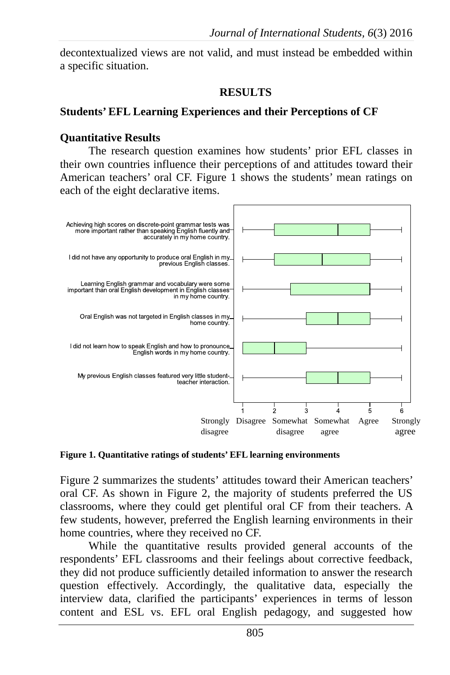decontextualized views are not valid, and must instead be embedded within a specific situation.

#### **RESULTS**

#### **Students' EFL Learning Experiences and their Perceptions of CF**

#### **Quantitative Results**

The research question examines how students' prior EFL classes in their own countries influence their perceptions of and attitudes toward their American teachers' oral CF. Figure 1 shows the students' mean ratings on each of the eight declarative items.



**Figure 1. Quantitative ratings of students' EFL learning environments**

Figure 2 summarizes the students' attitudes toward their American teachers' oral CF. As shown in Figure 2, the majority of students preferred the US classrooms, where they could get plentiful oral CF from their teachers. A few students, however, preferred the English learning environments in their home countries, where they received no CF.

While the quantitative results provided general accounts of the respondents' EFL classrooms and their feelings about corrective feedback, they did not produce sufficiently detailed information to answer the research question effectively. Accordingly, the qualitative data, especially the interview data, clarified the participants' experiences in terms of lesson content and ESL vs. EFL oral English pedagogy, and suggested how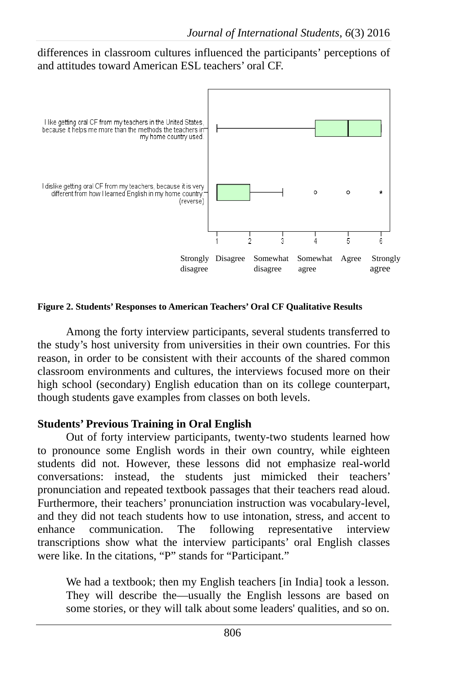differences in classroom cultures influenced the participants' perceptions of and attitudes toward American ESL teachers' oral CF.



**Figure 2. Students' Responses to American Teachers' Oral CF Qualitative Results** 

Among the forty interview participants, several students transferred to the study's host university from universities in their own countries. For this reason, in order to be consistent with their accounts of the shared common classroom environments and cultures, the interviews focused more on their high school (secondary) English education than on its college counterpart, though students gave examples from classes on both levels.

## **Students' Previous Training in Oral English**

Out of forty interview participants, twenty-two students learned how to pronounce some English words in their own country, while eighteen students did not. However, these lessons did not emphasize real-world conversations: instead, the students just mimicked their teachers' pronunciation and repeated textbook passages that their teachers read aloud. Furthermore, their teachers' pronunciation instruction was vocabulary-level, and they did not teach students how to use intonation, stress, and accent to enhance communication. The following representative interview transcriptions show what the interview participants' oral English classes were like. In the citations, "P" stands for "Participant."

We had a textbook; then my English teachers [in India] took a lesson. They will describe the—usually the English lessons are based on some stories, or they will talk about some leaders' qualities, and so on.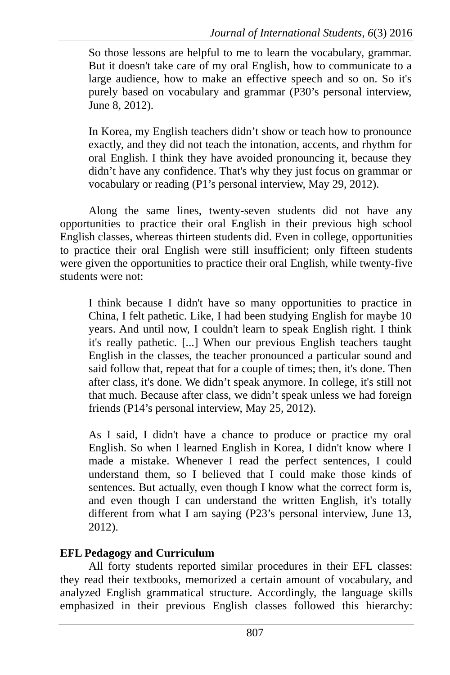So those lessons are helpful to me to learn the vocabulary, grammar. But it doesn't take care of my oral English, how to communicate to a large audience, how to make an effective speech and so on. So it's purely based on vocabulary and grammar (P30's personal interview, June 8, 2012).

In Korea, my English teachers didn't show or teach how to pronounce exactly, and they did not teach the intonation, accents, and rhythm for oral English. I think they have avoided pronouncing it, because they didn't have any confidence. That's why they just focus on grammar or vocabulary or reading (P1's personal interview, May 29, 2012).

Along the same lines, twenty-seven students did not have any opportunities to practice their oral English in their previous high school English classes, whereas thirteen students did. Even in college, opportunities to practice their oral English were still insufficient; only fifteen students were given the opportunities to practice their oral English, while twenty-five students were not:

I think because I didn't have so many opportunities to practice in China, I felt pathetic. Like, I had been studying English for maybe 10 years. And until now, I couldn't learn to speak English right. I think it's really pathetic. [...] When our previous English teachers taught English in the classes, the teacher pronounced a particular sound and said follow that, repeat that for a couple of times; then, it's done. Then after class, it's done. We didn't speak anymore. In college, it's still not that much. Because after class, we didn't speak unless we had foreign friends (P14's personal interview, May 25, 2012).

As I said, I didn't have a chance to produce or practice my oral English. So when I learned English in Korea, I didn't know where I made a mistake. Whenever I read the perfect sentences, I could understand them, so I believed that I could make those kinds of sentences. But actually, even though I know what the correct form is, and even though I can understand the written English, it's totally different from what I am saying (P23's personal interview, June 13, 2012).

## **EFL Pedagogy and Curriculum**

All forty students reported similar procedures in their EFL classes: they read their textbooks, memorized a certain amount of vocabulary, and analyzed English grammatical structure. Accordingly, the language skills emphasized in their previous English classes followed this hierarchy: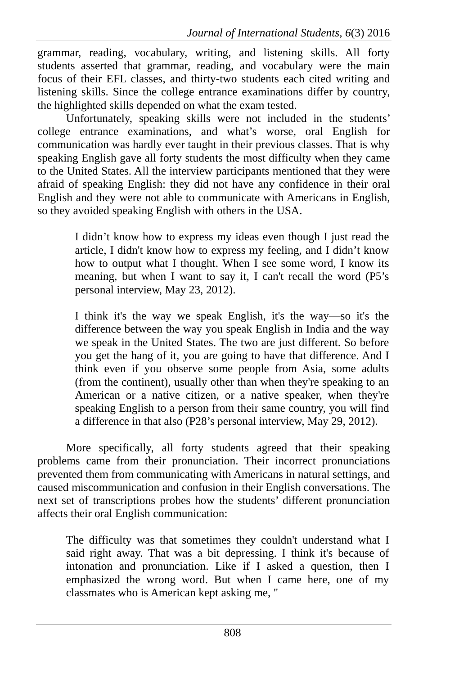grammar, reading, vocabulary, writing, and listening skills. All forty students asserted that grammar, reading, and vocabulary were the main focus of their EFL classes, and thirty-two students each cited writing and listening skills. Since the college entrance examinations differ by country, the highlighted skills depended on what the exam tested.

Unfortunately, speaking skills were not included in the students' college entrance examinations, and what's worse, oral English for communication was hardly ever taught in their previous classes. That is why speaking English gave all forty students the most difficulty when they came to the United States. All the interview participants mentioned that they were afraid of speaking English: they did not have any confidence in their oral English and they were not able to communicate with Americans in English, so they avoided speaking English with others in the USA.

> I didn't know how to express my ideas even though I just read the article, I didn't know how to express my feeling, and I didn't know how to output what I thought. When I see some word, I know its meaning, but when I want to say it, I can't recall the word (P5's personal interview, May 23, 2012).

> I think it's the way we speak English, it's the way—so it's the difference between the way you speak English in India and the way we speak in the United States. The two are just different. So before you get the hang of it, you are going to have that difference. And I think even if you observe some people from Asia, some adults (from the continent), usually other than when they're speaking to an American or a native citizen, or a native speaker, when they're speaking English to a person from their same country, you will find a difference in that also (P28's personal interview, May 29, 2012).

More specifically, all forty students agreed that their speaking problems came from their pronunciation. Their incorrect pronunciations prevented them from communicating with Americans in natural settings, and caused miscommunication and confusion in their English conversations. The next set of transcriptions probes how the students' different pronunciation affects their oral English communication:

The difficulty was that sometimes they couldn't understand what I said right away. That was a bit depressing. I think it's because of intonation and pronunciation. Like if I asked a question, then I emphasized the wrong word. But when I came here, one of my classmates who is American kept asking me, "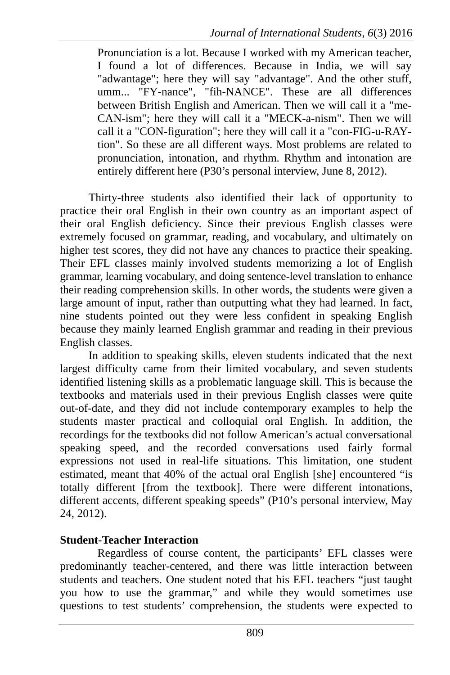Pronunciation is a lot. Because I worked with my American teacher, I found a lot of differences. Because in India, we will say "adwantage"; here they will say "advantage". And the other stuff, umm... "FY-nance", "fih-NANCE". These are all differences between British English and American. Then we will call it a "me-CAN-ism"; here they will call it a "MECK-a-nism". Then we will call it a "CON-figuration"; here they will call it a "con-FIG-u-RAYtion". So these are all different ways. Most problems are related to pronunciation, intonation, and rhythm. Rhythm and intonation are entirely different here (P30's personal interview, June 8, 2012).

Thirty-three students also identified their lack of opportunity to practice their oral English in their own country as an important aspect of their oral English deficiency. Since their previous English classes were extremely focused on grammar, reading, and vocabulary, and ultimately on higher test scores, they did not have any chances to practice their speaking. Their EFL classes mainly involved students memorizing a lot of English grammar, learning vocabulary, and doing sentence-level translation to enhance their reading comprehension skills. In other words, the students were given a large amount of input, rather than outputting what they had learned. In fact, nine students pointed out they were less confident in speaking English because they mainly learned English grammar and reading in their previous English classes.

In addition to speaking skills, eleven students indicated that the next largest difficulty came from their limited vocabulary, and seven students identified listening skills as a problematic language skill. This is because the textbooks and materials used in their previous English classes were quite out-of-date, and they did not include contemporary examples to help the students master practical and colloquial oral English. In addition, the recordings for the textbooks did not follow American's actual conversational speaking speed, and the recorded conversations used fairly formal expressions not used in real-life situations. This limitation, one student estimated, meant that 40% of the actual oral English [she] encountered "is totally different [from the textbook]. There were different intonations, different accents, different speaking speeds" (P10's personal interview, May 24, 2012).

## **Student-Teacher Interaction**

Regardless of course content, the participants' EFL classes were predominantly teacher-centered, and there was little interaction between students and teachers. One student noted that his EFL teachers "just taught you how to use the grammar," and while they would sometimes use questions to test students' comprehension, the students were expected to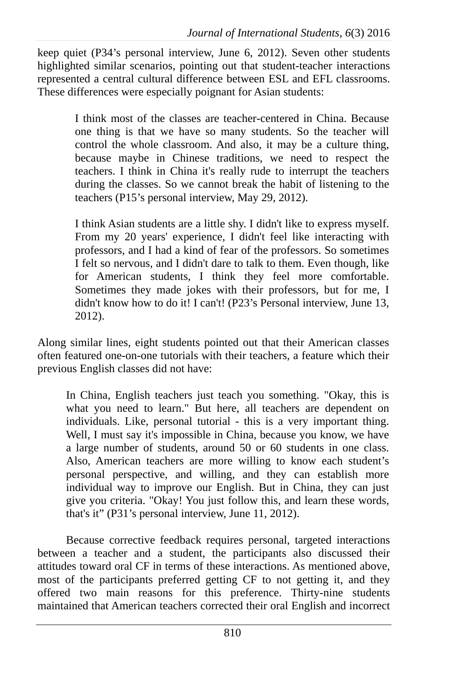keep quiet (P34's personal interview, June 6, 2012). Seven other students highlighted similar scenarios, pointing out that student-teacher interactions represented a central cultural difference between ESL and EFL classrooms. These differences were especially poignant for Asian students:

> I think most of the classes are teacher-centered in China. Because one thing is that we have so many students. So the teacher will control the whole classroom. And also, it may be a culture thing, because maybe in Chinese traditions, we need to respect the teachers. I think in China it's really rude to interrupt the teachers during the classes. So we cannot break the habit of listening to the teachers (P15's personal interview, May 29, 2012).

> I think Asian students are a little shy. I didn't like to express myself. From my 20 years' experience, I didn't feel like interacting with professors, and I had a kind of fear of the professors. So sometimes I felt so nervous, and I didn't dare to talk to them. Even though, like for American students, I think they feel more comfortable. Sometimes they made jokes with their professors, but for me, I didn't know how to do it! I can't! (P23's Personal interview, June 13, 2012).

Along similar lines, eight students pointed out that their American classes often featured one-on-one tutorials with their teachers, a feature which their previous English classes did not have:

In China, English teachers just teach you something. "Okay, this is what you need to learn." But here, all teachers are dependent on individuals. Like, personal tutorial - this is a very important thing. Well, I must say it's impossible in China, because you know, we have a large number of students, around 50 or 60 students in one class. Also, American teachers are more willing to know each student's personal perspective, and willing, and they can establish more individual way to improve our English. But in China, they can just give you criteria. "Okay! You just follow this, and learn these words, that's it" (P31's personal interview, June 11, 2012).

Because corrective feedback requires personal, targeted interactions between a teacher and a student, the participants also discussed their attitudes toward oral CF in terms of these interactions. As mentioned above, most of the participants preferred getting CF to not getting it, and they offered two main reasons for this preference. Thirty-nine students maintained that American teachers corrected their oral English and incorrect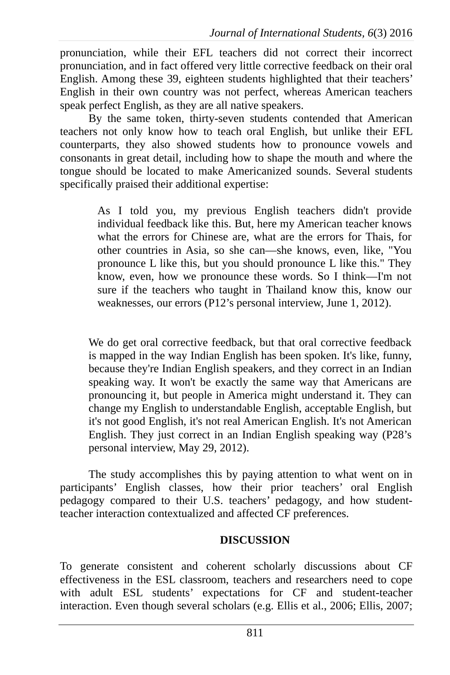pronunciation, while their EFL teachers did not correct their incorrect pronunciation, and in fact offered very little corrective feedback on their oral English. Among these 39, eighteen students highlighted that their teachers' English in their own country was not perfect, whereas American teachers speak perfect English, as they are all native speakers.

By the same token, thirty-seven students contended that American teachers not only know how to teach oral English, but unlike their EFL counterparts, they also showed students how to pronounce vowels and consonants in great detail, including how to shape the mouth and where the tongue should be located to make Americanized sounds. Several students specifically praised their additional expertise:

> As I told you, my previous English teachers didn't provide individual feedback like this. But, here my American teacher knows what the errors for Chinese are, what are the errors for Thais, for other countries in Asia, so she can—she knows, even, like, "You pronounce L like this, but you should pronounce L like this." They know, even, how we pronounce these words. So I think—I'm not sure if the teachers who taught in Thailand know this, know our weaknesses, our errors (P12's personal interview, June 1, 2012).

We do get oral corrective feedback, but that oral corrective feedback is mapped in the way Indian English has been spoken. It's like, funny, because they're Indian English speakers, and they correct in an Indian speaking way. It won't be exactly the same way that Americans are pronouncing it, but people in America might understand it. They can change my English to understandable English, acceptable English, but it's not good English, it's not real American English. It's not American English. They just correct in an Indian English speaking way (P28's personal interview, May 29, 2012).

The study accomplishes this by paying attention to what went on in participants' English classes, how their prior teachers' oral English pedagogy compared to their U.S. teachers' pedagogy, and how studentteacher interaction contextualized and affected CF preferences.

## **DISCUSSION**

To generate consistent and coherent scholarly discussions about CF effectiveness in the ESL classroom, teachers and researchers need to cope with adult ESL students' expectations for CF and student-teacher interaction. Even though several scholars (e.g. Ellis et al., 2006; Ellis, 2007;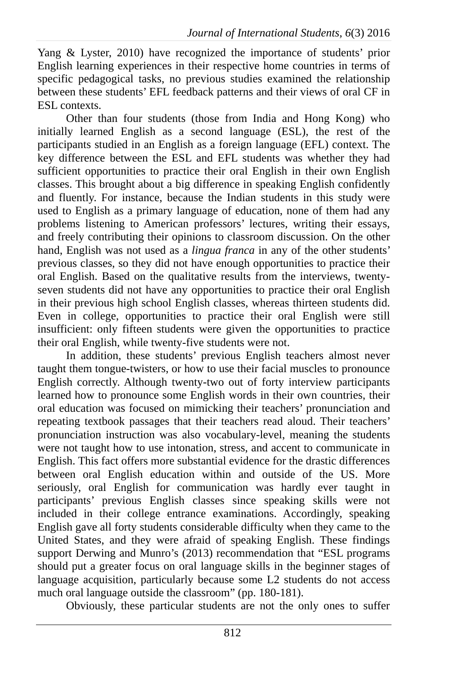Yang & Lyster, 2010) have recognized the importance of students' prior English learning experiences in their respective home countries in terms of specific pedagogical tasks, no previous studies examined the relationship between these students' EFL feedback patterns and their views of oral CF in ESL contexts.

Other than four students (those from India and Hong Kong) who initially learned English as a second language (ESL), the rest of the participants studied in an English as a foreign language (EFL) context. The key difference between the ESL and EFL students was whether they had sufficient opportunities to practice their oral English in their own English classes. This brought about a big difference in speaking English confidently and fluently. For instance, because the Indian students in this study were used to English as a primary language of education, none of them had any problems listening to American professors' lectures, writing their essays, and freely contributing their opinions to classroom discussion. On the other hand, English was not used as a *lingua franca* in any of the other students' previous classes, so they did not have enough opportunities to practice their oral English. Based on the qualitative results from the interviews, twentyseven students did not have any opportunities to practice their oral English in their previous high school English classes, whereas thirteen students did. Even in college, opportunities to practice their oral English were still insufficient: only fifteen students were given the opportunities to practice their oral English, while twenty-five students were not.

In addition, these students' previous English teachers almost never taught them tongue-twisters, or how to use their facial muscles to pronounce English correctly. Although twenty-two out of forty interview participants learned how to pronounce some English words in their own countries, their oral education was focused on mimicking their teachers' pronunciation and repeating textbook passages that their teachers read aloud. Their teachers' pronunciation instruction was also vocabulary-level, meaning the students were not taught how to use intonation, stress, and accent to communicate in English. This fact offers more substantial evidence for the drastic differences between oral English education within and outside of the US. More seriously, oral English for communication was hardly ever taught in participants' previous English classes since speaking skills were not included in their college entrance examinations. Accordingly, speaking English gave all forty students considerable difficulty when they came to the United States, and they were afraid of speaking English. These findings support Derwing and Munro's (2013) recommendation that "ESL programs should put a greater focus on oral language skills in the beginner stages of language acquisition, particularly because some L2 students do not access much oral language outside the classroom" (pp. 180-181).

Obviously, these particular students are not the only ones to suffer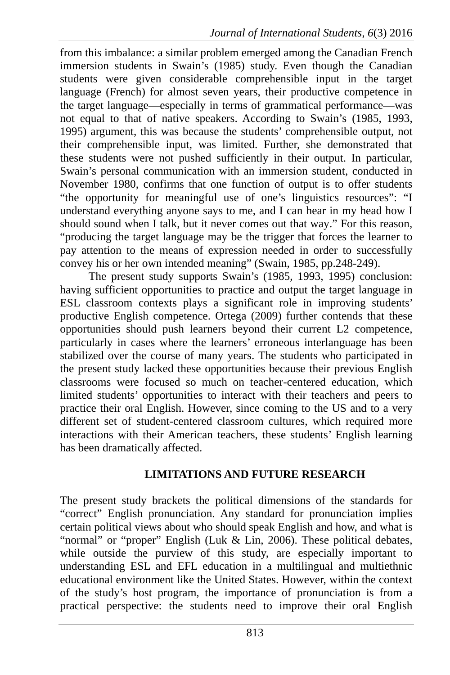from this imbalance: a similar problem emerged among the Canadian French immersion students in Swain's (1985) study. Even though the Canadian students were given considerable comprehensible input in the target language (French) for almost seven years, their productive competence in the target language—especially in terms of grammatical performance—was not equal to that of native speakers. According to Swain's (1985, 1993, 1995) argument, this was because the students' comprehensible output, not their comprehensible input, was limited. Further, she demonstrated that these students were not pushed sufficiently in their output. In particular, Swain's personal communication with an immersion student, conducted in November 1980, confirms that one function of output is to offer students "the opportunity for meaningful use of one's linguistics resources": "I understand everything anyone says to me, and I can hear in my head how I should sound when I talk, but it never comes out that way." For this reason, "producing the target language may be the trigger that forces the learner to pay attention to the means of expression needed in order to successfully convey his or her own intended meaning" (Swain, 1985, pp.248-249).

The present study supports Swain's (1985, 1993, 1995) conclusion: having sufficient opportunities to practice and output the target language in ESL classroom contexts plays a significant role in improving students' productive English competence. Ortega (2009) further contends that these opportunities should push learners beyond their current L2 competence, particularly in cases where the learners' erroneous interlanguage has been stabilized over the course of many years. The students who participated in the present study lacked these opportunities because their previous English classrooms were focused so much on teacher-centered education, which limited students' opportunities to interact with their teachers and peers to practice their oral English. However, since coming to the US and to a very different set of student-centered classroom cultures, which required more interactions with their American teachers, these students' English learning has been dramatically affected.

## **LIMITATIONS AND FUTURE RESEARCH**

The present study brackets the political dimensions of the standards for "correct" English pronunciation. Any standard for pronunciation implies certain political views about who should speak English and how, and what is "normal" or "proper" English (Luk & Lin, 2006). These political debates, while outside the purview of this study, are especially important to understanding ESL and EFL education in a multilingual and multiethnic educational environment like the United States. However, within the context of the study's host program, the importance of pronunciation is from a practical perspective: the students need to improve their oral English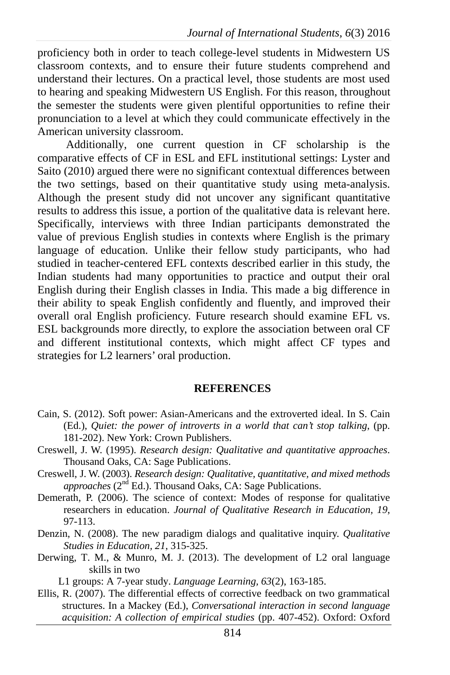proficiency both in order to teach college-level students in Midwestern US classroom contexts, and to ensure their future students comprehend and understand their lectures. On a practical level, those students are most used to hearing and speaking Midwestern US English. For this reason, throughout the semester the students were given plentiful opportunities to refine their pronunciation to a level at which they could communicate effectively in the American university classroom.

Additionally, one current question in CF scholarship is the comparative effects of CF in ESL and EFL institutional settings: Lyster and Saito (2010) argued there were no significant contextual differences between the two settings, based on their quantitative study using meta-analysis. Although the present study did not uncover any significant quantitative results to address this issue, a portion of the qualitative data is relevant here. Specifically, interviews with three Indian participants demonstrated the value of previous English studies in contexts where English is the primary language of education. Unlike their fellow study participants, who had studied in teacher-centered EFL contexts described earlier in this study, the Indian students had many opportunities to practice and output their oral English during their English classes in India. This made a big difference in their ability to speak English confidently and fluently, and improved their overall oral English proficiency. Future research should examine EFL vs. ESL backgrounds more directly, to explore the association between oral CF and different institutional contexts, which might affect CF types and strategies for L2 learners' oral production.

#### **REFERENCES**

- Cain, S. (2012). Soft power: Asian-Americans and the extroverted ideal. In S. Cain (Ed.), *Quiet: the power of introverts in a world that can't stop talking*, (pp. 181-202). New York: Crown Publishers.
- Creswell, J. W. (1995). *Research design: Qualitative and quantitative approaches*. Thousand Oaks, CA: Sage Publications.
- Creswell, J. W. (2003). *Research design: Qualitative, quantitative, and mixed methods approaches* (2<sup>nd</sup> Ed.). Thousand Oaks, CA: Sage Publications.
- Demerath, P. (2006). The science of context: Modes of response for qualitative researchers in education. *Journal of Qualitative Research in Education, 19*, 97-113.
- Denzin, N. (2008). The new paradigm dialogs and qualitative inquiry. *Qualitative Studies in Education, 21*, 315-325.
- Derwing, T. M., & Munro, M. J. (2013). The development of L2 oral language skills in two

L1 groups: A 7-year study. *Language Learning, 63*(2), 163-185.

Ellis, R. (2007). The differential effects of corrective feedback on two grammatical structures. In a Mackey (Ed.), *Conversational interaction in second language acquisition: A collection of empirical studies* (pp. 407-452). Oxford: Oxford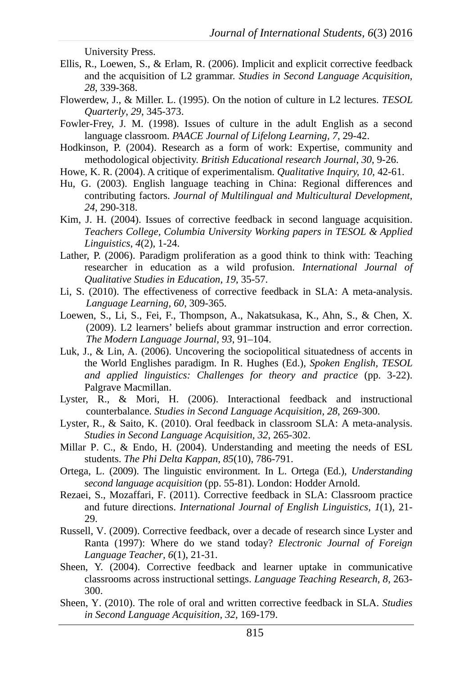University Press.

- Ellis, R., Loewen, S., & Erlam, R. (2006). Implicit and explicit corrective feedback and the acquisition of L2 grammar. *Studies in Second Language Acquisition, 28*, 339-368.
- Flowerdew, J., & Miller. L. (1995). On the notion of culture in L2 lectures. *TESOL Quarterly*, *29*, 345-373.
- Fowler-Frey, J. M. (1998). Issues of culture in the adult English as a second language classroom. *PAACE Journal of Lifelong Learning, 7*, 29-42.
- Hodkinson, P. (2004). Research as a form of work: Expertise, community and methodological objectivity. *British Educational research Journal, 30*, 9-26.
- Howe, K. R. (2004). A critique of experimentalism. *Qualitative Inquiry, 10*, 42-61.
- Hu, G. (2003). English language teaching in China: Regional differences and contributing factors. *Journal of Multilingual and Multicultural Development, 24*, 290-318.
- Kim, J. H. (2004). Issues of corrective feedback in second language acquisition. *Teachers College, Columbia University Working papers in TESOL & Applied Linguistics*, *4*(2), 1-24.
- Lather, P. (2006). Paradigm proliferation as a good think to think with: Teaching researcher in education as a wild profusion. *International Journal of Qualitative Studies in Education, 19*, 35-57.
- Li, S. (2010). The effectiveness of corrective feedback in SLA: A meta-analysis. *Language Learning, 60*, 309-365.
- Loewen, S., Li, S., Fei, F., Thompson, A., Nakatsukasa, K., Ahn, S., & Chen, X. (2009). L2 learners' beliefs about grammar instruction and error correction. *The Modern Language Journal, 93*, 91–104.
- Luk, J., & Lin, A. (2006). Uncovering the sociopolitical situatedness of accents in the World Englishes paradigm. In R. Hughes (Ed.), *Spoken English, TESOL and applied linguistics: Challenges for theory and practice* (pp. 3-22). Palgrave Macmillan.
- Lyster, R., & Mori, H. (2006). Interactional feedback and instructional counterbalance. *Studies in Second Language Acquisition, 28*, 269-300.
- Lyster, R., & Saito, K. (2010). Oral feedback in classroom SLA: A meta-analysis. *Studies in Second Language Acquisition, 32*, 265-302.
- Millar P. C., & Endo, H. (2004). Understanding and meeting the needs of ESL students. *The Phi Delta Kappan, 85*(10), 786-791.
- Ortega, L. (2009). The linguistic environment. In L. Ortega (Ed.), *Understanding second language acquisition* (pp. 55-81). London: Hodder Arnold.
- Rezaei, S., Mozaffari, F. (2011). Corrective feedback in SLA: Classroom practice and future directions. *International Journal of English Linguistics, 1*(1), 21- 29.
- Russell, V. (2009). Corrective feedback, over a decade of research since Lyster and Ranta (1997): Where do we stand today? *Electronic Journal of Foreign Language Teacher, 6*(1), 21-31.
- Sheen, Y. (2004). Corrective feedback and learner uptake in communicative classrooms across instructional settings. *Language Teaching Research*, *8*, 263- 300.
- Sheen, Y. (2010). The role of oral and written corrective feedback in SLA. *Studies in Second Language Acquisition, 32*, 169-179.